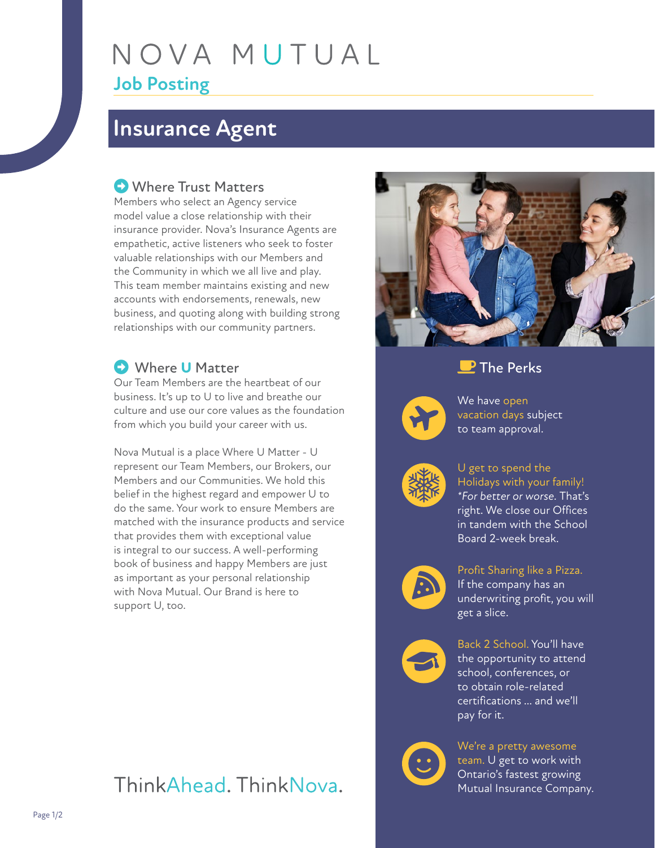# NOVA MUTUAL **Job Posting**

## **Insurance Agent**

### **C** Where Trust Matters

Members who select an Agency service model value a close relationship with their insurance provider. Nova's Insurance Agents are empathetic, active listeners who seek to foster valuable relationships with our Members and the Community in which we all live and play. This team member maintains existing and new accounts with endorsements, renewals, new business, and quoting along with building strong relationships with our community partners.

### Where **U** Matter

Our Team Members are the heartbeat of our business. It's up to U to live and breathe our culture and use our core values as the foundation from which you build your career with us.

Nova Mutual is a place Where U Matter - U represent our Team Members, our Brokers, our Members and our Communities. We hold this belief in the highest regard and empower U to do the same. Your work to ensure Members are matched with the insurance products and service that provides them with exceptional value is integral to our success. A well-performing book of business and happy Members are just as important as your personal relationship with Nova Mutual. Our Brand is here to support U, too.



#### **P** The Perks



We have open vacation days subject to team approval.



U get to spend the Holidays with your family! *\*For better or worse.* That's right. We close our Offices in tandem with the School Board 2-week break.



Profit Sharing like a Pizza. If the company has an underwriting profit, you will get a slice.



Back 2 School. You'll have the opportunity to attend school, conferences, or to obtain role-related certifications … and we'll pay for it.



We're a pretty awesome team. U get to work with Ontario's fastest growing Mutual Insurance Company.

## ThinkAhead, ThinkNova,